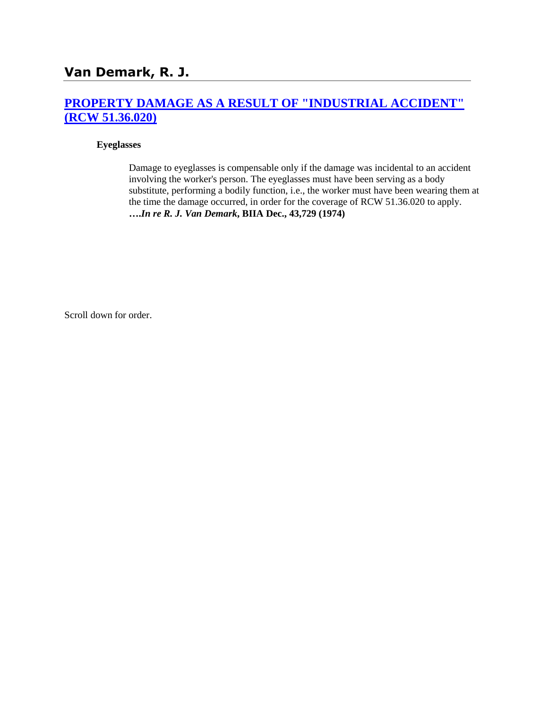## **[PROPERTY DAMAGE AS A RESULT OF "INDUSTRIAL ACCIDENT"](http://www.biia.wa.gov/SDSubjectIndex.html#PROPERTY_DAMAGE_AS_A_RESULT_OF_INDUSTRIAL_ACCIDENT)  [\(RCW 51.36.020\)](http://www.biia.wa.gov/SDSubjectIndex.html#PROPERTY_DAMAGE_AS_A_RESULT_OF_INDUSTRIAL_ACCIDENT)**

#### **Eyeglasses**

Damage to eyeglasses is compensable only if the damage was incidental to an accident involving the worker's person. The eyeglasses must have been serving as a body substitute, performing a bodily function, i.e., the worker must have been wearing them at the time the damage occurred, in order for the coverage of RCW 51.36.020 to apply. **….***In re R. J. Van Demark***, BIIA Dec., 43,729 (1974)** 

Scroll down for order.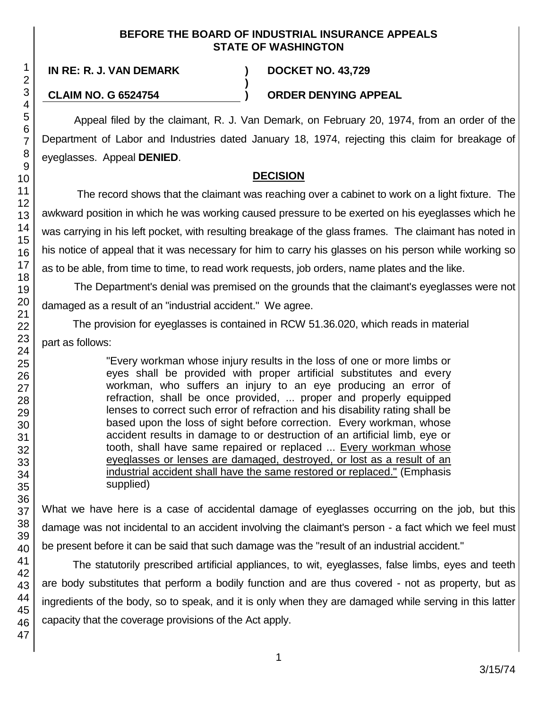#### **BEFORE THE BOARD OF INDUSTRIAL INSURANCE APPEALS STATE OF WASHINGTON**

**)**

## **CLAIM NO. G 6524754 ) ORDER DENYING APPEAL**

Appeal filed by the claimant, R. J. Van Demark, on February 20, 1974, from an order of the Department of Labor and Industries dated January 18, 1974, rejecting this claim for breakage of eyeglasses. Appeal **DENIED**.

# **DECISION**

The record shows that the claimant was reaching over a cabinet to work on a light fixture. The awkward position in which he was working caused pressure to be exerted on his eyeglasses which he was carrying in his left pocket, with resulting breakage of the glass frames. The claimant has noted in his notice of appeal that it was necessary for him to carry his glasses on his person while working so as to be able, from time to time, to read work requests, job orders, name plates and the like.

The Department's denial was premised on the grounds that the claimant's eyeglasses were not damaged as a result of an "industrial accident." We agree.

The provision for eyeglasses is contained in RCW 51.36.020, which reads in material part as follows:

> "Every workman whose injury results in the loss of one or more limbs or eyes shall be provided with proper artificial substitutes and every workman, who suffers an injury to an eye producing an error of refraction, shall be once provided, ... proper and properly equipped lenses to correct such error of refraction and his disability rating shall be based upon the loss of sight before correction. Every workman, whose accident results in damage to or destruction of an artificial limb, eye or tooth, shall have same repaired or replaced ... Every workman whose eyeglasses or lenses are damaged, destroyed, or lost as a result of an industrial accident shall have the same restored or replaced." (Emphasis supplied)

What we have here is a case of accidental damage of eyeglasses occurring on the job, but this damage was not incidental to an accident involving the claimant's person - a fact which we feel must be present before it can be said that such damage was the "result of an industrial accident."

The statutorily prescribed artificial appliances, to wit, eyeglasses, false limbs, eyes and teeth are body substitutes that perform a bodily function and are thus covered - not as property, but as ingredients of the body, so to speak, and it is only when they are damaged while serving in this latter capacity that the coverage provisions of the Act apply.